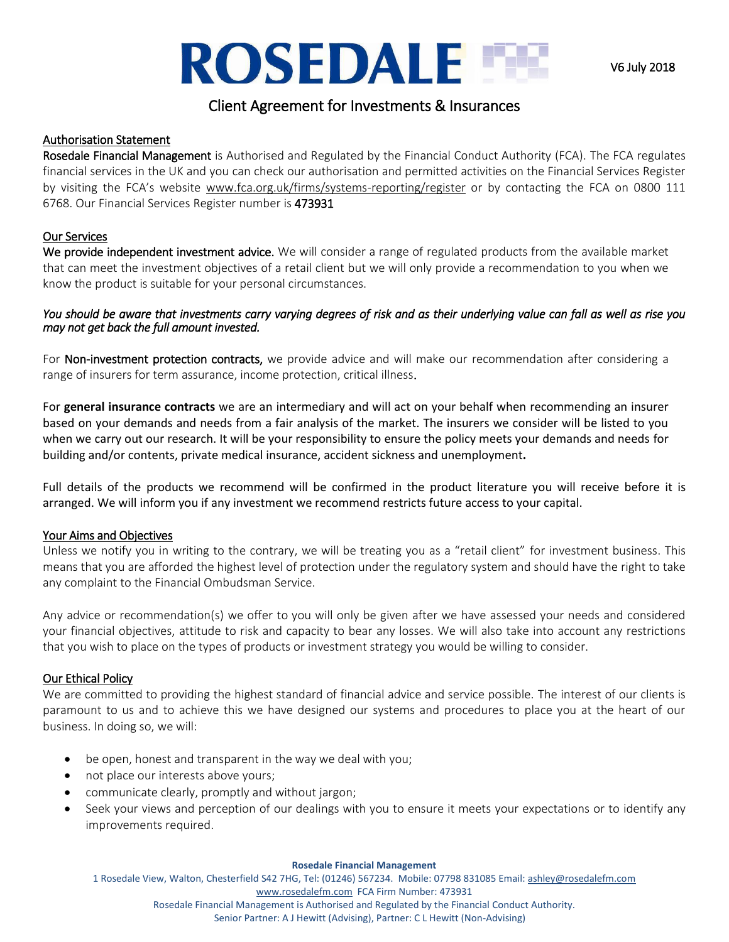# **ROSEDALE LE**

## Client Agreement for Investments & Insurances

## Authorisation Statement

Rosedale Financial Management is Authorised and Regulated by the Financial Conduct Authority (FCA). The FCA regulates financial services in the UK and you can check our authorisation and permitted activities on the Financial Services Register by visiting the FCA's website www.fca.org.uk/firms/systems-reporting/register or by contacting the FCA on 0800 111 6768. Our Financial Services Register number is 473931

## Our Services

We provide independent investment advice. We will consider a range of regulated products from the available market that can meet the investment objectives of a retail client but we will only provide a recommendation to you when we know the product is suitable for your personal circumstances.

#### *You should be aware that investments carry varying degrees of risk and as their underlying value can fall as well as rise you may not get back the full amount invested.*

For Non-investment protection contracts, we provide advice and will make our recommendation after considering a range of insurers for term assurance, income protection, critical illness.

For **general insurance contracts** we are an intermediary and will act on your behalf when recommending an insurer based on your demands and needs from a fair analysis of the market. The insurers we consider will be listed to you when we carry out our research. It will be your responsibility to ensure the policy meets your demands and needs for building and/or contents, private medical insurance, accident sickness and unemployment**.** 

Full details of the products we recommend will be confirmed in the product literature you will receive before it is arranged. We will inform you if any investment we recommend restricts future access to your capital.

## Your Aims and Objectives

Unless we notify you in writing to the contrary, we will be treating you as a "retail client" for investment business. This means that you are afforded the highest level of protection under the regulatory system and should have the right to take any complaint to the Financial Ombudsman Service.

Any advice or recommendation(s) we offer to you will only be given after we have assessed your needs and considered your financial objectives, attitude to risk and capacity to bear any losses. We will also take into account any restrictions that you wish to place on the types of products or investment strategy you would be willing to consider.

## Our Ethical Policy

We are committed to providing the highest standard of financial advice and service possible. The interest of our clients is paramount to us and to achieve this we have designed our systems and procedures to place you at the heart of our business. In doing so, we will:

- be open, honest and transparent in the way we deal with you;
- not place our interests above yours;
- communicate clearly, promptly and without jargon;
- Seek your views and perception of our dealings with you to ensure it meets your expectations or to identify any improvements required.

#### **Rosedale Financial Management**

1 Rosedale View, Walton, Chesterfield S42 7HG, Tel: (01246) 567234. Mobile: 07798 831085 Email[: ashley@rosedalefm.com](mailto:ashley@rosedalefm.com)

[www.rosedalefm.com](http://www.rosedalefm.com/) FCA Firm Number: 473931

Rosedale Financial Management is Authorised and Regulated by the Financial Conduct Authority.

Senior Partner: A J Hewitt (Advising), Partner: C L Hewitt (Non-Advising)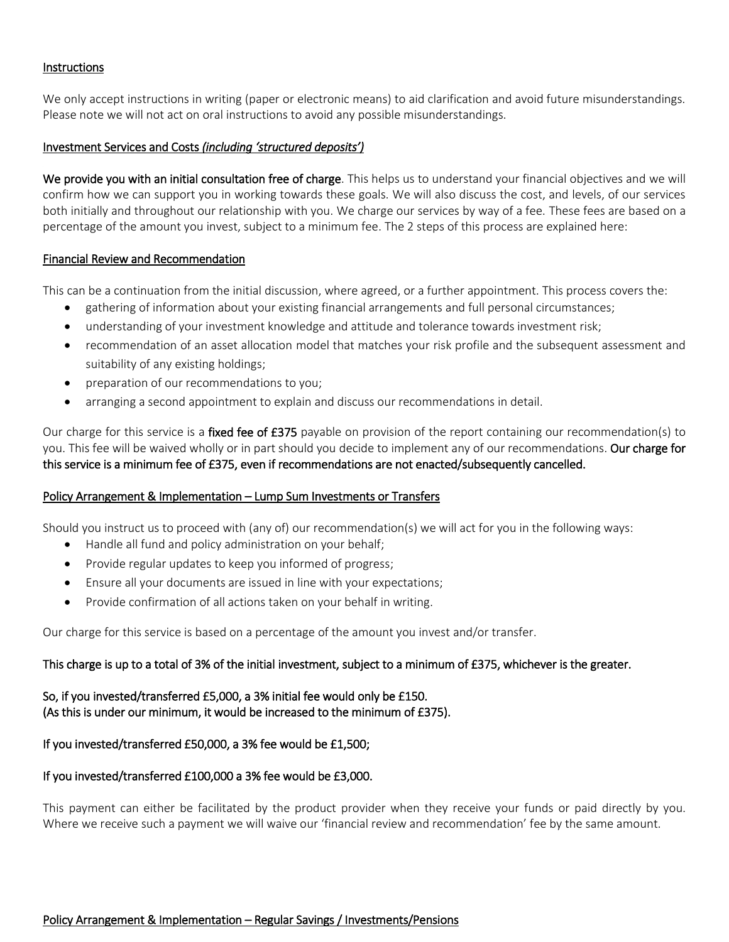#### **Instructions**

We only accept instructions in writing (paper or electronic means) to aid clarification and avoid future misunderstandings. Please note we will not act on oral instructions to avoid any possible misunderstandings.

#### Investment Services and Costs *(including 'structured deposits')*

We provide you with an initial consultation free of charge. This helps us to understand your financial objectives and we will confirm how we can support you in working towards these goals. We will also discuss the cost, and levels, of our services both initially and throughout our relationship with you. We charge our services by way of a fee. These fees are based on a percentage of the amount you invest, subject to a minimum fee. The 2 steps of this process are explained here:

#### Financial Review and Recommendation

This can be a continuation from the initial discussion, where agreed, or a further appointment. This process covers the:

- gathering of information about your existing financial arrangements and full personal circumstances;
- understanding of your investment knowledge and attitude and tolerance towards investment risk;
- recommendation of an asset allocation model that matches your risk profile and the subsequent assessment and suitability of any existing holdings;
- preparation of our recommendations to you;
- arranging a second appointment to explain and discuss our recommendations in detail.

Our charge for this service is a fixed fee of £375 payable on provision of the report containing our recommendation(s) to you. This fee will be waived wholly or in part should you decide to implement any of our recommendations. Our charge for this service is a minimum fee of £375, even if recommendations are not enacted/subsequently cancelled.

#### Policy Arrangement & Implementation – Lump Sum Investments or Transfers

Should you instruct us to proceed with (any of) our recommendation(s) we will act for you in the following ways:

- Handle all fund and policy administration on your behalf;
- Provide regular updates to keep you informed of progress;
- Ensure all your documents are issued in line with your expectations;
- Provide confirmation of all actions taken on your behalf in writing.

Our charge for this service is based on a percentage of the amount you invest and/or transfer.

#### This charge is up to a total of 3% of the initial investment, subject to a minimum of £375, whichever is the greater.

So, if you invested/transferred £5,000, a 3% initial fee would only be £150. (As this is under our minimum, it would be increased to the minimum of £375).

#### If you invested/transferred £50,000, a 3% fee would be £1,500;

#### If you invested/transferred £100,000 a 3% fee would be £3,000.

This payment can either be facilitated by the product provider when they receive your funds or paid directly by you. Where we receive such a payment we will waive our 'financial review and recommendation' fee by the same amount.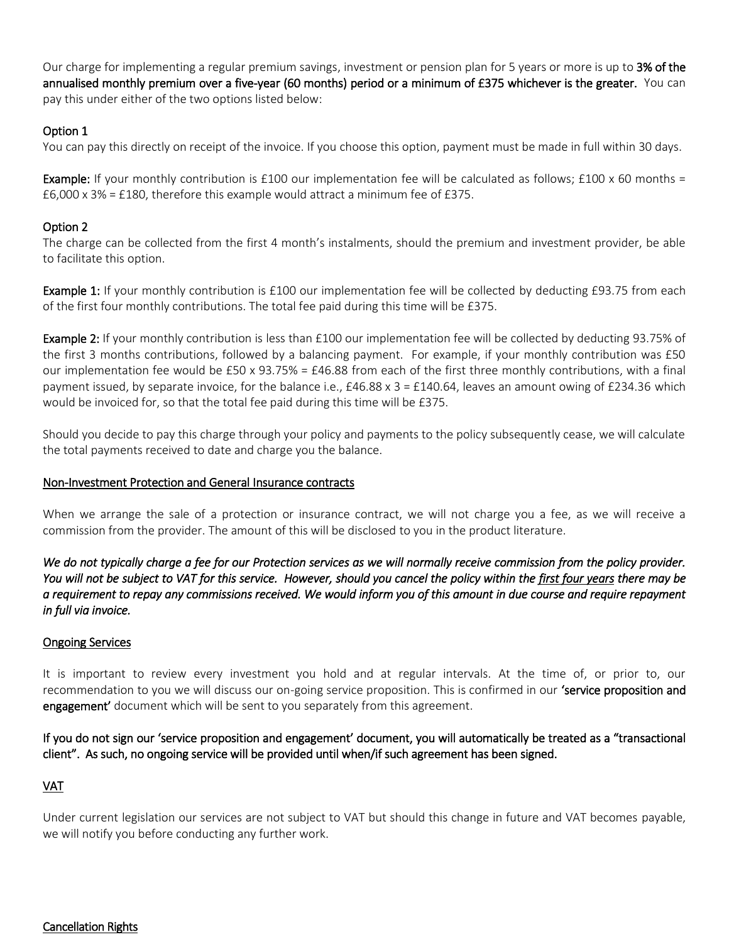Our charge for implementing a regular premium savings, investment or pension plan for 5 years or more is up to 3% of the annualised monthly premium over a five-year (60 months) period or a minimum of £375 whichever is the greater. You can pay this under either of the two options listed below:

## Option 1

You can pay this directly on receipt of the invoice. If you choose this option, payment must be made in full within 30 days.

**Example:** If your monthly contribution is £100 our implementation fee will be calculated as follows; £100 x 60 months =  $£6,000 \times 3\% = £180$ , therefore this example would attract a minimum fee of £375.

## Option 2

The charge can be collected from the first 4 month's instalments, should the premium and investment provider, be able to facilitate this option.

Example 1: If your monthly contribution is £100 our implementation fee will be collected by deducting £93.75 from each of the first four monthly contributions. The total fee paid during this time will be £375.

Example 2: If your monthly contribution is less than £100 our implementation fee will be collected by deducting 93.75% of the first 3 months contributions, followed by a balancing payment. For example, if your monthly contribution was £50 our implementation fee would be £50 x 93.75% = £46.88 from each of the first three monthly contributions, with a final payment issued, by separate invoice, for the balance i.e., £46.88 x 3 = £140.64, leaves an amount owing of £234.36 which would be invoiced for, so that the total fee paid during this time will be £375.

Should you decide to pay this charge through your policy and payments to the policy subsequently cease, we will calculate the total payments received to date and charge you the balance.

## Non-Investment Protection and General Insurance contracts

When we arrange the sale of a protection or insurance contract, we will not charge you a fee, as we will receive a commission from the provider. The amount of this will be disclosed to you in the product literature.

*We do not typically charge a fee for our Protection services as we will normally receive commission from the policy provider. You will not be subject to VAT for this service. However, should you cancel the policy within the first four years there may be a requirement to repay any commissions received. We would inform you of this amount in due course and require repayment in full via invoice.* 

## Ongoing Services

It is important to review every investment you hold and at regular intervals. At the time of, or prior to, our recommendation to you we will discuss our on-going service proposition. This is confirmed in our **'service proposition and** engagement' document which will be sent to you separately from this agreement.

If you do not sign our 'service proposition and engagement' document, you will automatically be treated as a "transactional client". As such, no ongoing service will be provided until when/if such agreement has been signed.

## VAT

Under current legislation our services are not subject to VAT but should this change in future and VAT becomes payable, we will notify you before conducting any further work.

## Cancellation Rights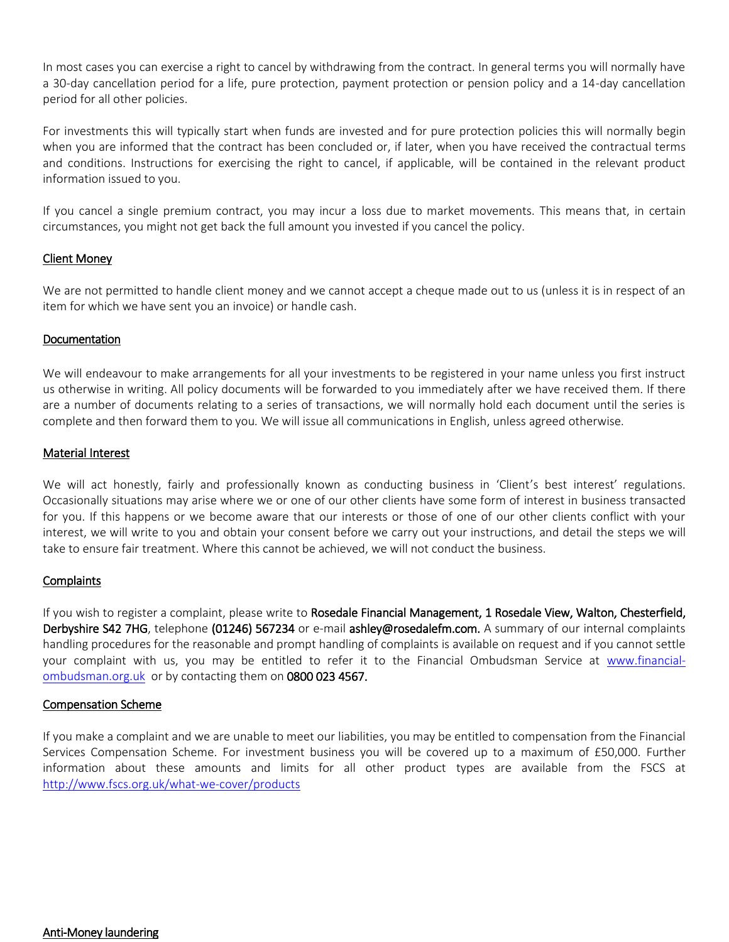In most cases you can exercise a right to cancel by withdrawing from the contract. In general terms you will normally have a 30-day cancellation period for a life, pure protection, payment protection or pension policy and a 14-day cancellation period for all other policies.

For investments this will typically start when funds are invested and for pure protection policies this will normally begin when you are informed that the contract has been concluded or, if later, when you have received the contractual terms and conditions. Instructions for exercising the right to cancel, if applicable, will be contained in the relevant product information issued to you.

If you cancel a single premium contract, you may incur a loss due to market movements. This means that, in certain circumstances, you might not get back the full amount you invested if you cancel the policy.

## Client Money

We are not permitted to handle client money and we cannot accept a cheque made out to us (unless it is in respect of an item for which we have sent you an invoice) or handle cash.

#### Documentation

We will endeavour to make arrangements for all your investments to be registered in your name unless you first instruct us otherwise in writing. All policy documents will be forwarded to you immediately after we have received them. If there are a number of documents relating to a series of transactions, we will normally hold each document until the series is complete and then forward them to you*.* We will issue all communications in English, unless agreed otherwise.

#### Material Interest

We will act honestly, fairly and professionally known as conducting business in 'Client's best interest' regulations. Occasionally situations may arise where we or one of our other clients have some form of interest in business transacted for you. If this happens or we become aware that our interests or those of one of our other clients conflict with your interest, we will write to you and obtain your consent before we carry out your instructions, and detail the steps we will take to ensure fair treatment. Where this cannot be achieved, we will not conduct the business.

#### **Complaints**

If you wish to register a complaint, please write to Rosedale Financial Management, 1 Rosedale View, Walton, Chesterfield, Derbyshire S42 7HG, telephone (01246) 567234 or e-mail ashley@rosedalefm.com. A summary of our internal complaints handling procedures for the reasonable and prompt handling of complaints is available on request and if you cannot settle your complaint with us, you may be entitled to refer it to the Financial Ombudsman Service at [www.financial](http://www.financial-ombudsman.org.uk/)[ombudsman.org.uk](http://www.financial-ombudsman.org.uk/) or by contacting them on 0800 023 4567.

#### Compensation Scheme

If you make a complaint and we are unable to meet our liabilities, you may be entitled to compensation from the Financial Services Compensation Scheme. For investment business you will be covered up to a maximum of £50,000. Further information about these amounts and limits for all other product types are available from the FSCS at <http://www.fscs.org.uk/what-we-cover/products>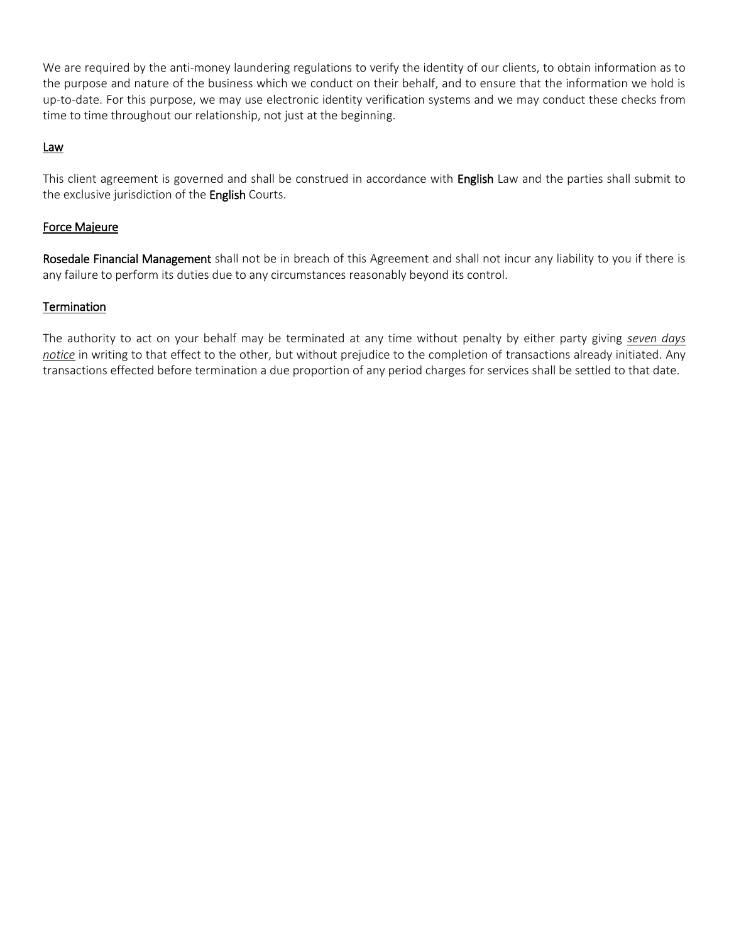We are required by the anti-money laundering regulations to verify the identity of our clients, to obtain information as to the purpose and nature of the business which we conduct on their behalf, and to ensure that the information we hold is up-to-date. For this purpose, we may use electronic identity verification systems and we may conduct these checks from time to time throughout our relationship, not just at the beginning.

## Law

This client agreement is governed and shall be construed in accordance with English Law and the parties shall submit to the exclusive jurisdiction of the English Courts.

## Force Majeure

Rosedale Financial Management shall not be in breach of this Agreement and shall not incur any liability to you if there is any failure to perform its duties due to any circumstances reasonably beyond its control.

## **Termination**

The authority to act on your behalf may be terminated at any time without penalty by either party giving *seven days notice* in writing to that effect to the other, but without prejudice to the completion of transactions already initiated. Any transactions effected before termination a due proportion of any period charges for services shall be settled to that date.